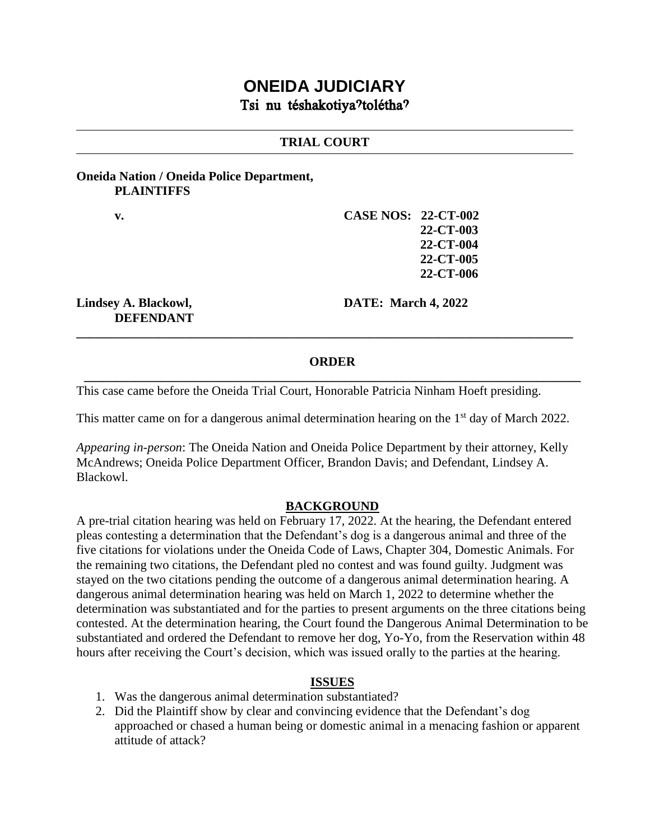# **ONEIDA JUDICIARY** Tsi nu téshakotiya?tolétha?

### **TRIAL COURT**

### **Oneida Nation / Oneida Police Department, PLAINTIFFS**

**v. CASE NOS: 22-CT-002 22-CT-003 22-CT-004 22-CT-005 22-CT-006**

**DEFENDANT**

**Lindsey A. Blackowl, DATE: March 4, 2022**

### **ORDER \_\_\_\_\_\_\_\_\_\_\_\_\_\_\_\_\_\_\_\_\_\_\_\_\_\_\_\_\_\_\_\_\_\_\_\_\_\_\_\_\_\_\_\_\_\_\_\_\_\_\_\_\_\_\_\_\_\_\_\_\_\_\_\_\_\_\_\_\_\_\_\_\_\_\_\_\_\_**

**\_\_\_\_\_\_\_\_\_\_\_\_\_\_\_\_\_\_\_\_\_\_\_\_\_\_\_\_\_\_\_\_\_\_\_\_\_\_\_\_\_\_\_\_\_\_\_\_\_\_\_\_\_\_\_\_\_\_\_\_\_\_\_\_\_\_\_\_\_\_\_\_\_\_\_\_\_\_**

This case came before the Oneida Trial Court, Honorable Patricia Ninham Hoeft presiding.

This matter came on for a dangerous animal determination hearing on the  $1<sup>st</sup>$  day of March 2022.

*Appearing in-person*: The Oneida Nation and Oneida Police Department by their attorney, Kelly McAndrews; Oneida Police Department Officer, Brandon Davis; and Defendant, Lindsey A. Blackowl.

#### **BACKGROUND**

A pre-trial citation hearing was held on February 17, 2022. At the hearing, the Defendant entered pleas contesting a determination that the Defendant's dog is a dangerous animal and three of the five citations for violations under the Oneida Code of Laws, Chapter 304, Domestic Animals. For the remaining two citations, the Defendant pled no contest and was found guilty. Judgment was stayed on the two citations pending the outcome of a dangerous animal determination hearing. A dangerous animal determination hearing was held on March 1, 2022 to determine whether the determination was substantiated and for the parties to present arguments on the three citations being contested. At the determination hearing, the Court found the Dangerous Animal Determination to be substantiated and ordered the Defendant to remove her dog, Yo-Yo, from the Reservation within 48 hours after receiving the Court's decision, which was issued orally to the parties at the hearing.

### **ISSUES**

- 1. Was the dangerous animal determination substantiated?
- 2. Did the Plaintiff show by clear and convincing evidence that the Defendant's dog approached or chased a human being or domestic animal in a menacing fashion or apparent attitude of attack?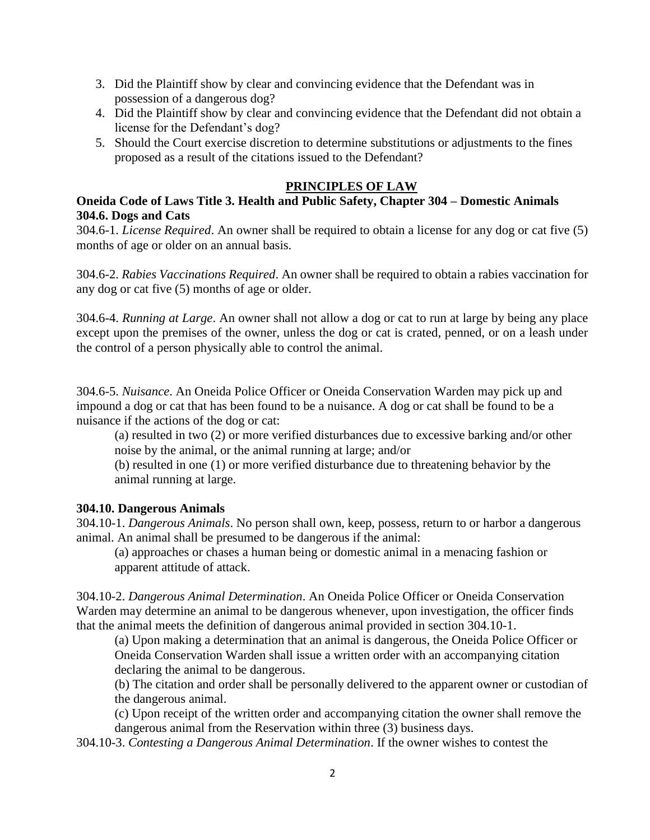- 3. Did the Plaintiff show by clear and convincing evidence that the Defendant was in possession of a dangerous dog?
- 4. Did the Plaintiff show by clear and convincing evidence that the Defendant did not obtain a license for the Defendant's dog?
- 5. Should the Court exercise discretion to determine substitutions or adjustments to the fines proposed as a result of the citations issued to the Defendant?

## **PRINCIPLES OF LAW**

# **Oneida Code of Laws Title 3. Health and Public Safety, Chapter 304 – Domestic Animals 304.6. Dogs and Cats**

304.6-1. *License Required*. An owner shall be required to obtain a license for any dog or cat five (5) months of age or older on an annual basis.

304.6-2. *Rabies Vaccinations Required*. An owner shall be required to obtain a rabies vaccination for any dog or cat five (5) months of age or older.

304.6-4. *Running at Large*. An owner shall not allow a dog or cat to run at large by being any place except upon the premises of the owner, unless the dog or cat is crated, penned, or on a leash under the control of a person physically able to control the animal.

304.6-5. *Nuisance*. An Oneida Police Officer or Oneida Conservation Warden may pick up and impound a dog or cat that has been found to be a nuisance. A dog or cat shall be found to be a nuisance if the actions of the dog or cat:

(a) resulted in two (2) or more verified disturbances due to excessive barking and/or other noise by the animal, or the animal running at large; and/or

(b) resulted in one (1) or more verified disturbance due to threatening behavior by the animal running at large.

### **304.10. Dangerous Animals**

304.10-1. *Dangerous Animals*. No person shall own, keep, possess, return to or harbor a dangerous animal. An animal shall be presumed to be dangerous if the animal:

(a) approaches or chases a human being or domestic animal in a menacing fashion or apparent attitude of attack.

304.10-2. *Dangerous Animal Determination*. An Oneida Police Officer or Oneida Conservation Warden may determine an animal to be dangerous whenever, upon investigation, the officer finds that the animal meets the definition of dangerous animal provided in section 304.10-1.

(a) Upon making a determination that an animal is dangerous, the Oneida Police Officer or Oneida Conservation Warden shall issue a written order with an accompanying citation declaring the animal to be dangerous.

(b) The citation and order shall be personally delivered to the apparent owner or custodian of the dangerous animal.

(c) Upon receipt of the written order and accompanying citation the owner shall remove the dangerous animal from the Reservation within three (3) business days.

304.10-3. *Contesting a Dangerous Animal Determination*. If the owner wishes to contest the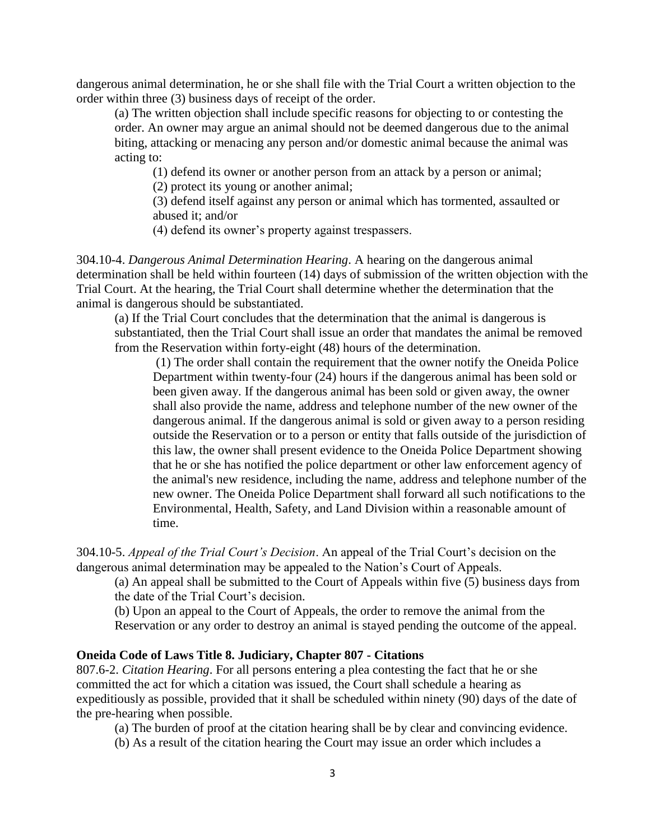dangerous animal determination, he or she shall file with the Trial Court a written objection to the order within three (3) business days of receipt of the order.

(a) The written objection shall include specific reasons for objecting to or contesting the order. An owner may argue an animal should not be deemed dangerous due to the animal biting, attacking or menacing any person and/or domestic animal because the animal was acting to:

(1) defend its owner or another person from an attack by a person or animal;

(2) protect its young or another animal;

(3) defend itself against any person or animal which has tormented, assaulted or abused it; and/or

(4) defend its owner's property against trespassers.

304.10-4. *Dangerous Animal Determination Hearing*. A hearing on the dangerous animal determination shall be held within fourteen (14) days of submission of the written objection with the Trial Court. At the hearing, the Trial Court shall determine whether the determination that the animal is dangerous should be substantiated.

(a) If the Trial Court concludes that the determination that the animal is dangerous is substantiated, then the Trial Court shall issue an order that mandates the animal be removed from the Reservation within forty-eight (48) hours of the determination.

(1) The order shall contain the requirement that the owner notify the Oneida Police Department within twenty-four (24) hours if the dangerous animal has been sold or been given away. If the dangerous animal has been sold or given away, the owner shall also provide the name, address and telephone number of the new owner of the dangerous animal. If the dangerous animal is sold or given away to a person residing outside the Reservation or to a person or entity that falls outside of the jurisdiction of this law, the owner shall present evidence to the Oneida Police Department showing that he or she has notified the police department or other law enforcement agency of the animal's new residence, including the name, address and telephone number of the new owner. The Oneida Police Department shall forward all such notifications to the Environmental, Health, Safety, and Land Division within a reasonable amount of time.

304.10-5. *Appeal of the Trial Court's Decision*. An appeal of the Trial Court's decision on the dangerous animal determination may be appealed to the Nation's Court of Appeals.

(a) An appeal shall be submitted to the Court of Appeals within five (5) business days from the date of the Trial Court's decision.

(b) Upon an appeal to the Court of Appeals, the order to remove the animal from the Reservation or any order to destroy an animal is stayed pending the outcome of the appeal.

#### **Oneida Code of Laws Title 8. Judiciary, Chapter 807 - Citations**

807.6-2. *Citation Hearing*. For all persons entering a plea contesting the fact that he or she committed the act for which a citation was issued, the Court shall schedule a hearing as expeditiously as possible, provided that it shall be scheduled within ninety (90) days of the date of the pre-hearing when possible.

(a) The burden of proof at the citation hearing shall be by clear and convincing evidence.

(b) As a result of the citation hearing the Court may issue an order which includes a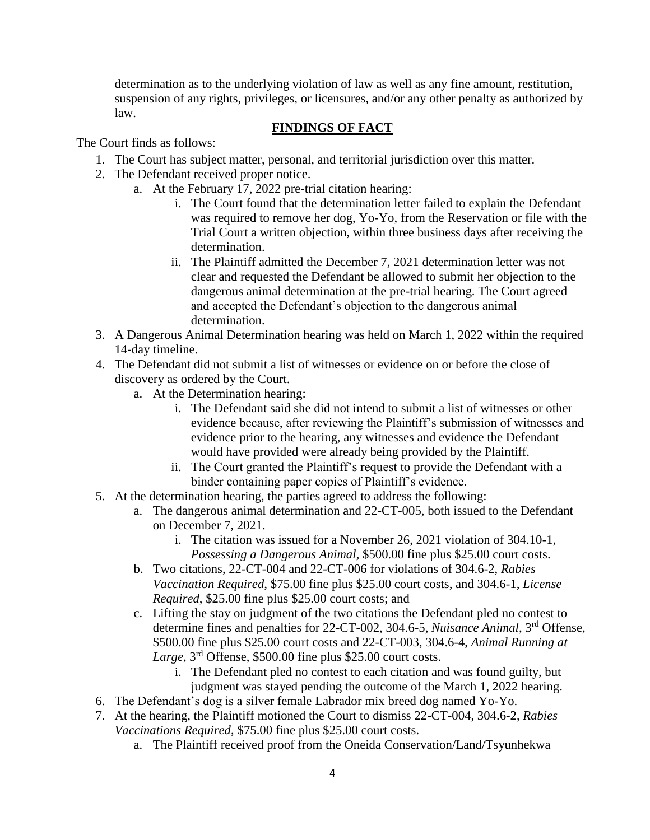determination as to the underlying violation of law as well as any fine amount, restitution, suspension of any rights, privileges, or licensures, and/or any other penalty as authorized by law.

# **FINDINGS OF FACT**

The Court finds as follows:

- 1. The Court has subject matter, personal, and territorial jurisdiction over this matter.
- 2. The Defendant received proper notice.
	- a. At the February 17, 2022 pre-trial citation hearing:
		- i. The Court found that the determination letter failed to explain the Defendant was required to remove her dog, Yo-Yo, from the Reservation or file with the Trial Court a written objection, within three business days after receiving the determination.
		- ii. The Plaintiff admitted the December 7, 2021 determination letter was not clear and requested the Defendant be allowed to submit her objection to the dangerous animal determination at the pre-trial hearing. The Court agreed and accepted the Defendant's objection to the dangerous animal determination.
- 3. A Dangerous Animal Determination hearing was held on March 1, 2022 within the required 14-day timeline.
- 4. The Defendant did not submit a list of witnesses or evidence on or before the close of discovery as ordered by the Court.
	- a. At the Determination hearing:
		- i. The Defendant said she did not intend to submit a list of witnesses or other evidence because, after reviewing the Plaintiff's submission of witnesses and evidence prior to the hearing, any witnesses and evidence the Defendant would have provided were already being provided by the Plaintiff.
		- ii. The Court granted the Plaintiff's request to provide the Defendant with a binder containing paper copies of Plaintiff's evidence.
- 5. At the determination hearing, the parties agreed to address the following:
	- a. The dangerous animal determination and 22-CT-005, both issued to the Defendant on December 7, 2021.
		- i. The citation was issued for a November 26, 2021 violation of 304.10-1, *Possessing a Dangerous Animal,* \$500.00 fine plus \$25.00 court costs.
	- b. Two citations, 22-CT-004 and 22-CT-006 for violations of 304.6-2, *Rabies Vaccination Required*, \$75.00 fine plus \$25.00 court costs, and 304.6-1, *License Required*, \$25.00 fine plus \$25.00 court costs; and
	- c. Lifting the stay on judgment of the two citations the Defendant pled no contest to determine fines and penalties for 22-CT-002, 304.6-5, *Nuisance Animal*, 3rd Offense, \$500.00 fine plus \$25.00 court costs and 22-CT-003, 304.6-4, *Animal Running at Large*, 3rd Offense, \$500.00 fine plus \$25.00 court costs.
		- i. The Defendant pled no contest to each citation and was found guilty, but judgment was stayed pending the outcome of the March 1, 2022 hearing.
- 6. The Defendant's dog is a silver female Labrador mix breed dog named Yo-Yo.
- 7. At the hearing, the Plaintiff motioned the Court to dismiss 22-CT-004, 304.6-2, *Rabies Vaccinations Required*, \$75.00 fine plus \$25.00 court costs.
	- a. The Plaintiff received proof from the Oneida Conservation/Land/Tsyunhekwa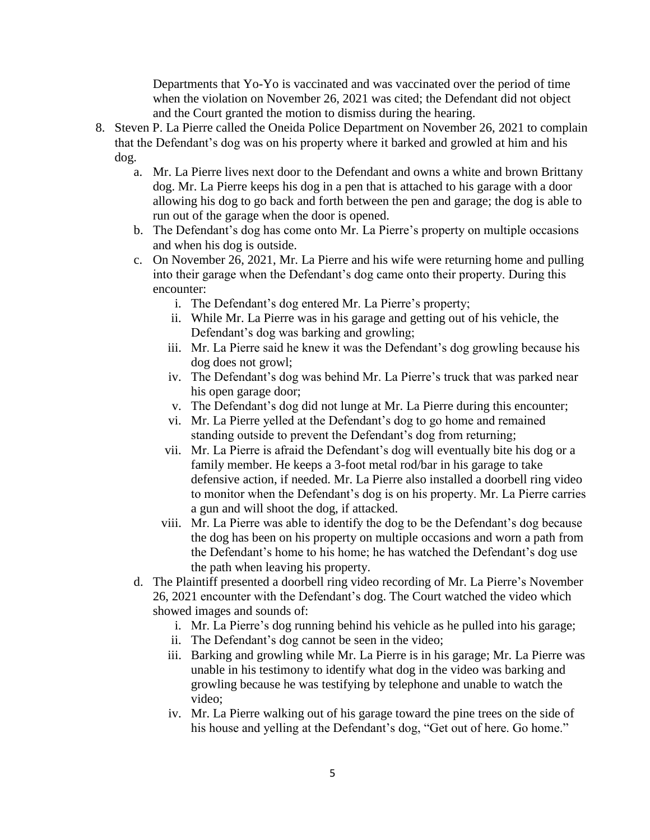Departments that Yo-Yo is vaccinated and was vaccinated over the period of time when the violation on November 26, 2021 was cited; the Defendant did not object and the Court granted the motion to dismiss during the hearing.

- 8. Steven P. La Pierre called the Oneida Police Department on November 26, 2021 to complain that the Defendant's dog was on his property where it barked and growled at him and his dog.
	- a. Mr. La Pierre lives next door to the Defendant and owns a white and brown Brittany dog. Mr. La Pierre keeps his dog in a pen that is attached to his garage with a door allowing his dog to go back and forth between the pen and garage; the dog is able to run out of the garage when the door is opened.
	- b. The Defendant's dog has come onto Mr. La Pierre's property on multiple occasions and when his dog is outside.
	- c. On November 26, 2021, Mr. La Pierre and his wife were returning home and pulling into their garage when the Defendant's dog came onto their property. During this encounter:
		- i. The Defendant's dog entered Mr. La Pierre's property;
		- ii. While Mr. La Pierre was in his garage and getting out of his vehicle, the Defendant's dog was barking and growling;
		- iii. Mr. La Pierre said he knew it was the Defendant's dog growling because his dog does not growl;
		- iv. The Defendant's dog was behind Mr. La Pierre's truck that was parked near his open garage door;
		- v. The Defendant's dog did not lunge at Mr. La Pierre during this encounter;
		- vi. Mr. La Pierre yelled at the Defendant's dog to go home and remained standing outside to prevent the Defendant's dog from returning;
		- vii. Mr. La Pierre is afraid the Defendant's dog will eventually bite his dog or a family member. He keeps a 3-foot metal rod/bar in his garage to take defensive action, if needed. Mr. La Pierre also installed a doorbell ring video to monitor when the Defendant's dog is on his property. Mr. La Pierre carries a gun and will shoot the dog, if attacked.
		- viii. Mr. La Pierre was able to identify the dog to be the Defendant's dog because the dog has been on his property on multiple occasions and worn a path from the Defendant's home to his home; he has watched the Defendant's dog use the path when leaving his property.
	- d. The Plaintiff presented a doorbell ring video recording of Mr. La Pierre's November 26, 2021 encounter with the Defendant's dog. The Court watched the video which showed images and sounds of:
		- i. Mr. La Pierre's dog running behind his vehicle as he pulled into his garage;
		- ii. The Defendant's dog cannot be seen in the video;
		- iii. Barking and growling while Mr. La Pierre is in his garage; Mr. La Pierre was unable in his testimony to identify what dog in the video was barking and growling because he was testifying by telephone and unable to watch the video;
		- iv. Mr. La Pierre walking out of his garage toward the pine trees on the side of his house and yelling at the Defendant's dog, "Get out of here. Go home."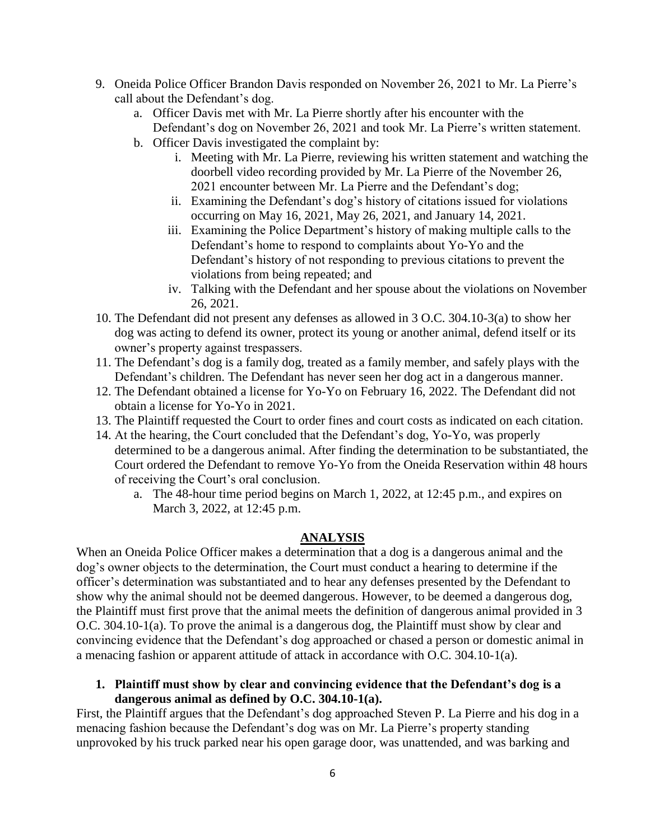- 9. Oneida Police Officer Brandon Davis responded on November 26, 2021 to Mr. La Pierre's call about the Defendant's dog.
	- a. Officer Davis met with Mr. La Pierre shortly after his encounter with the Defendant's dog on November 26, 2021 and took Mr. La Pierre's written statement.
	- b. Officer Davis investigated the complaint by:
		- i. Meeting with Mr. La Pierre, reviewing his written statement and watching the doorbell video recording provided by Mr. La Pierre of the November 26, 2021 encounter between Mr. La Pierre and the Defendant's dog;
		- ii. Examining the Defendant's dog's history of citations issued for violations occurring on May 16, 2021, May 26, 2021, and January 14, 2021.
		- iii. Examining the Police Department's history of making multiple calls to the Defendant's home to respond to complaints about Yo-Yo and the Defendant's history of not responding to previous citations to prevent the violations from being repeated; and
		- iv. Talking with the Defendant and her spouse about the violations on November 26, 2021.
- 10. The Defendant did not present any defenses as allowed in 3 O.C. 304.10-3(a) to show her dog was acting to defend its owner, protect its young or another animal, defend itself or its owner's property against trespassers.
- 11. The Defendant's dog is a family dog, treated as a family member, and safely plays with the Defendant's children. The Defendant has never seen her dog act in a dangerous manner.
- 12. The Defendant obtained a license for Yo-Yo on February 16, 2022. The Defendant did not obtain a license for Yo-Yo in 2021.
- 13. The Plaintiff requested the Court to order fines and court costs as indicated on each citation.
- 14. At the hearing, the Court concluded that the Defendant's dog, Yo-Yo, was properly determined to be a dangerous animal. After finding the determination to be substantiated, the Court ordered the Defendant to remove Yo-Yo from the Oneida Reservation within 48 hours of receiving the Court's oral conclusion.
	- a. The 48-hour time period begins on March 1, 2022, at 12:45 p.m., and expires on March 3, 2022, at 12:45 p.m.

# **ANALYSIS**

When an Oneida Police Officer makes a determination that a dog is a dangerous animal and the dog's owner objects to the determination, the Court must conduct a hearing to determine if the officer's determination was substantiated and to hear any defenses presented by the Defendant to show why the animal should not be deemed dangerous. However, to be deemed a dangerous dog, the Plaintiff must first prove that the animal meets the definition of dangerous animal provided in 3 O.C. 304.10-1(a). To prove the animal is a dangerous dog, the Plaintiff must show by clear and convincing evidence that the Defendant's dog approached or chased a person or domestic animal in a menacing fashion or apparent attitude of attack in accordance with O.C. 304.10-1(a).

### **1. Plaintiff must show by clear and convincing evidence that the Defendant's dog is a dangerous animal as defined by O.C. 304.10-1(a).**

First, the Plaintiff argues that the Defendant's dog approached Steven P. La Pierre and his dog in a menacing fashion because the Defendant's dog was on Mr. La Pierre's property standing unprovoked by his truck parked near his open garage door, was unattended, and was barking and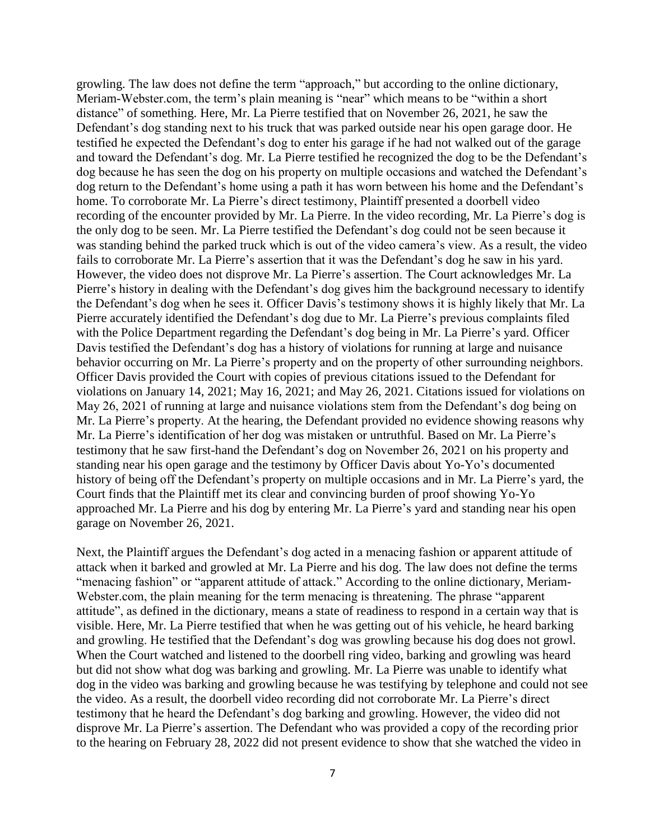growling. The law does not define the term "approach," but according to the online dictionary, Meriam-Webster.com, the term's plain meaning is "near" which means to be "within a short distance" of something. Here, Mr. La Pierre testified that on November 26, 2021, he saw the Defendant's dog standing next to his truck that was parked outside near his open garage door. He testified he expected the Defendant's dog to enter his garage if he had not walked out of the garage and toward the Defendant's dog. Mr. La Pierre testified he recognized the dog to be the Defendant's dog because he has seen the dog on his property on multiple occasions and watched the Defendant's dog return to the Defendant's home using a path it has worn between his home and the Defendant's home. To corroborate Mr. La Pierre's direct testimony, Plaintiff presented a doorbell video recording of the encounter provided by Mr. La Pierre. In the video recording, Mr. La Pierre's dog is the only dog to be seen. Mr. La Pierre testified the Defendant's dog could not be seen because it was standing behind the parked truck which is out of the video camera's view. As a result, the video fails to corroborate Mr. La Pierre's assertion that it was the Defendant's dog he saw in his yard. However, the video does not disprove Mr. La Pierre's assertion. The Court acknowledges Mr. La Pierre's history in dealing with the Defendant's dog gives him the background necessary to identify the Defendant's dog when he sees it. Officer Davis's testimony shows it is highly likely that Mr. La Pierre accurately identified the Defendant's dog due to Mr. La Pierre's previous complaints filed with the Police Department regarding the Defendant's dog being in Mr. La Pierre's yard. Officer Davis testified the Defendant's dog has a history of violations for running at large and nuisance behavior occurring on Mr. La Pierre's property and on the property of other surrounding neighbors. Officer Davis provided the Court with copies of previous citations issued to the Defendant for violations on January 14, 2021; May 16, 2021; and May 26, 2021. Citations issued for violations on May 26, 2021 of running at large and nuisance violations stem from the Defendant's dog being on Mr. La Pierre's property. At the hearing, the Defendant provided no evidence showing reasons why Mr. La Pierre's identification of her dog was mistaken or untruthful. Based on Mr. La Pierre's testimony that he saw first-hand the Defendant's dog on November 26, 2021 on his property and standing near his open garage and the testimony by Officer Davis about Yo-Yo's documented history of being off the Defendant's property on multiple occasions and in Mr. La Pierre's yard, the Court finds that the Plaintiff met its clear and convincing burden of proof showing Yo-Yo approached Mr. La Pierre and his dog by entering Mr. La Pierre's yard and standing near his open garage on November 26, 2021.

Next, the Plaintiff argues the Defendant's dog acted in a menacing fashion or apparent attitude of attack when it barked and growled at Mr. La Pierre and his dog. The law does not define the terms "menacing fashion" or "apparent attitude of attack." According to the online dictionary, Meriam-Webster.com, the plain meaning for the term menacing is threatening. The phrase "apparent attitude", as defined in the dictionary, means a state of readiness to respond in a certain way that is visible. Here, Mr. La Pierre testified that when he was getting out of his vehicle, he heard barking and growling. He testified that the Defendant's dog was growling because his dog does not growl. When the Court watched and listened to the doorbell ring video, barking and growling was heard but did not show what dog was barking and growling. Mr. La Pierre was unable to identify what dog in the video was barking and growling because he was testifying by telephone and could not see the video. As a result, the doorbell video recording did not corroborate Mr. La Pierre's direct testimony that he heard the Defendant's dog barking and growling. However, the video did not disprove Mr. La Pierre's assertion. The Defendant who was provided a copy of the recording prior to the hearing on February 28, 2022 did not present evidence to show that she watched the video in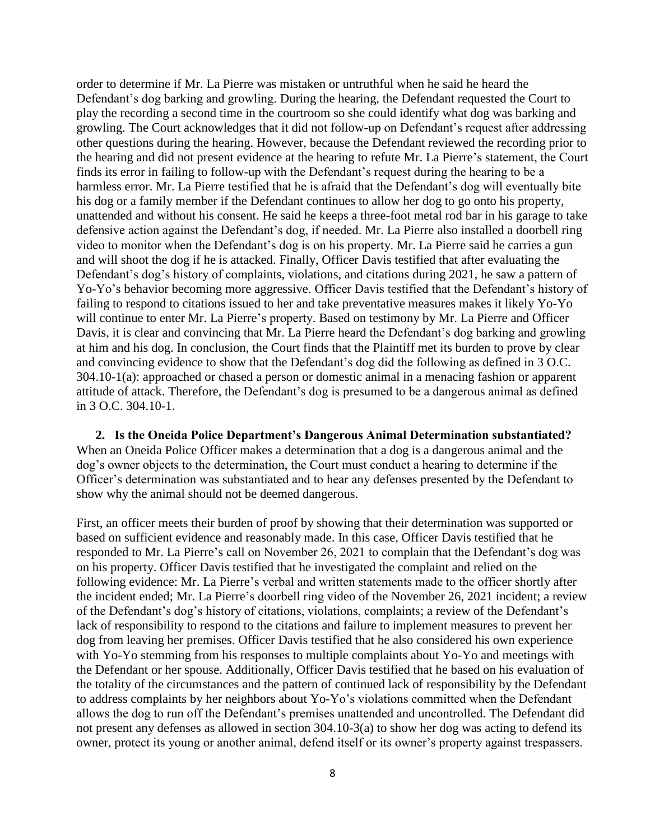order to determine if Mr. La Pierre was mistaken or untruthful when he said he heard the Defendant's dog barking and growling. During the hearing, the Defendant requested the Court to play the recording a second time in the courtroom so she could identify what dog was barking and growling. The Court acknowledges that it did not follow-up on Defendant's request after addressing other questions during the hearing. However, because the Defendant reviewed the recording prior to the hearing and did not present evidence at the hearing to refute Mr. La Pierre's statement, the Court finds its error in failing to follow-up with the Defendant's request during the hearing to be a harmless error. Mr. La Pierre testified that he is afraid that the Defendant's dog will eventually bite his dog or a family member if the Defendant continues to allow her dog to go onto his property, unattended and without his consent. He said he keeps a three-foot metal rod bar in his garage to take defensive action against the Defendant's dog, if needed. Mr. La Pierre also installed a doorbell ring video to monitor when the Defendant's dog is on his property. Mr. La Pierre said he carries a gun and will shoot the dog if he is attacked. Finally, Officer Davis testified that after evaluating the Defendant's dog's history of complaints, violations, and citations during 2021, he saw a pattern of Yo-Yo's behavior becoming more aggressive. Officer Davis testified that the Defendant's history of failing to respond to citations issued to her and take preventative measures makes it likely Yo-Yo will continue to enter Mr. La Pierre's property. Based on testimony by Mr. La Pierre and Officer Davis, it is clear and convincing that Mr. La Pierre heard the Defendant's dog barking and growling at him and his dog. In conclusion, the Court finds that the Plaintiff met its burden to prove by clear and convincing evidence to show that the Defendant's dog did the following as defined in 3 O.C. 304.10-1(a): approached or chased a person or domestic animal in a menacing fashion or apparent attitude of attack. Therefore, the Defendant's dog is presumed to be a dangerous animal as defined in 3 O.C. 304.10-1.

**2. Is the Oneida Police Department's Dangerous Animal Determination substantiated?**  When an Oneida Police Officer makes a determination that a dog is a dangerous animal and the dog's owner objects to the determination, the Court must conduct a hearing to determine if the Officer's determination was substantiated and to hear any defenses presented by the Defendant to show why the animal should not be deemed dangerous.

First, an officer meets their burden of proof by showing that their determination was supported or based on sufficient evidence and reasonably made. In this case, Officer Davis testified that he responded to Mr. La Pierre's call on November 26, 2021 to complain that the Defendant's dog was on his property. Officer Davis testified that he investigated the complaint and relied on the following evidence: Mr. La Pierre's verbal and written statements made to the officer shortly after the incident ended; Mr. La Pierre's doorbell ring video of the November 26, 2021 incident; a review of the Defendant's dog's history of citations, violations, complaints; a review of the Defendant's lack of responsibility to respond to the citations and failure to implement measures to prevent her dog from leaving her premises. Officer Davis testified that he also considered his own experience with Yo-Yo stemming from his responses to multiple complaints about Yo-Yo and meetings with the Defendant or her spouse. Additionally, Officer Davis testified that he based on his evaluation of the totality of the circumstances and the pattern of continued lack of responsibility by the Defendant to address complaints by her neighbors about Yo-Yo's violations committed when the Defendant allows the dog to run off the Defendant's premises unattended and uncontrolled. The Defendant did not present any defenses as allowed in section 304.10-3(a) to show her dog was acting to defend its owner, protect its young or another animal, defend itself or its owner's property against trespassers.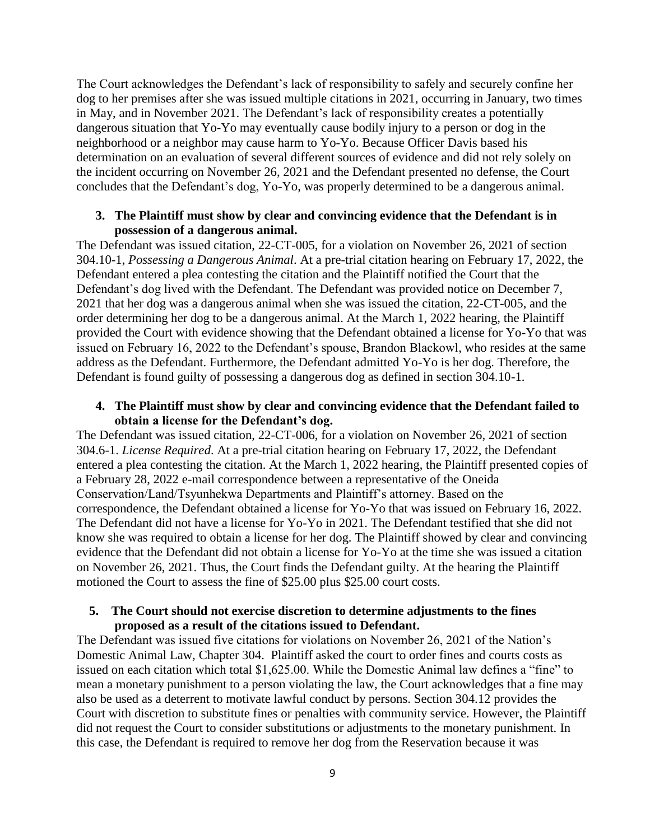The Court acknowledges the Defendant's lack of responsibility to safely and securely confine her dog to her premises after she was issued multiple citations in 2021, occurring in January, two times in May, and in November 2021. The Defendant's lack of responsibility creates a potentially dangerous situation that Yo-Yo may eventually cause bodily injury to a person or dog in the neighborhood or a neighbor may cause harm to Yo-Yo. Because Officer Davis based his determination on an evaluation of several different sources of evidence and did not rely solely on the incident occurring on November 26, 2021 and the Defendant presented no defense, the Court concludes that the Defendant's dog, Yo-Yo, was properly determined to be a dangerous animal.

### **3. The Plaintiff must show by clear and convincing evidence that the Defendant is in possession of a dangerous animal.**

The Defendant was issued citation, 22-CT-005, for a violation on November 26, 2021 of section 304.10-1, *Possessing a Dangerous Animal*. At a pre-trial citation hearing on February 17, 2022, the Defendant entered a plea contesting the citation and the Plaintiff notified the Court that the Defendant's dog lived with the Defendant. The Defendant was provided notice on December 7, 2021 that her dog was a dangerous animal when she was issued the citation, 22-CT-005, and the order determining her dog to be a dangerous animal. At the March 1, 2022 hearing, the Plaintiff provided the Court with evidence showing that the Defendant obtained a license for Yo-Yo that was issued on February 16, 2022 to the Defendant's spouse, Brandon Blackowl, who resides at the same address as the Defendant. Furthermore, the Defendant admitted Yo-Yo is her dog. Therefore, the Defendant is found guilty of possessing a dangerous dog as defined in section 304.10-1.

### **4. The Plaintiff must show by clear and convincing evidence that the Defendant failed to obtain a license for the Defendant's dog.**

The Defendant was issued citation, 22-CT-006, for a violation on November 26, 2021 of section 304.6-1. *License Required*. At a pre-trial citation hearing on February 17, 2022, the Defendant entered a plea contesting the citation. At the March 1, 2022 hearing, the Plaintiff presented copies of a February 28, 2022 e-mail correspondence between a representative of the Oneida Conservation/Land/Tsyunhekwa Departments and Plaintiff's attorney. Based on the correspondence, the Defendant obtained a license for Yo-Yo that was issued on February 16, 2022. The Defendant did not have a license for Yo-Yo in 2021. The Defendant testified that she did not know she was required to obtain a license for her dog. The Plaintiff showed by clear and convincing evidence that the Defendant did not obtain a license for Yo-Yo at the time she was issued a citation on November 26, 2021. Thus, the Court finds the Defendant guilty. At the hearing the Plaintiff motioned the Court to assess the fine of \$25.00 plus \$25.00 court costs.

### **5. The Court should not exercise discretion to determine adjustments to the fines proposed as a result of the citations issued to Defendant.**

The Defendant was issued five citations for violations on November 26, 2021 of the Nation's Domestic Animal Law, Chapter 304. Plaintiff asked the court to order fines and courts costs as issued on each citation which total \$1,625.00. While the Domestic Animal law defines a "fine" to mean a monetary punishment to a person violating the law, the Court acknowledges that a fine may also be used as a deterrent to motivate lawful conduct by persons. Section 304.12 provides the Court with discretion to substitute fines or penalties with community service. However, the Plaintiff did not request the Court to consider substitutions or adjustments to the monetary punishment. In this case, the Defendant is required to remove her dog from the Reservation because it was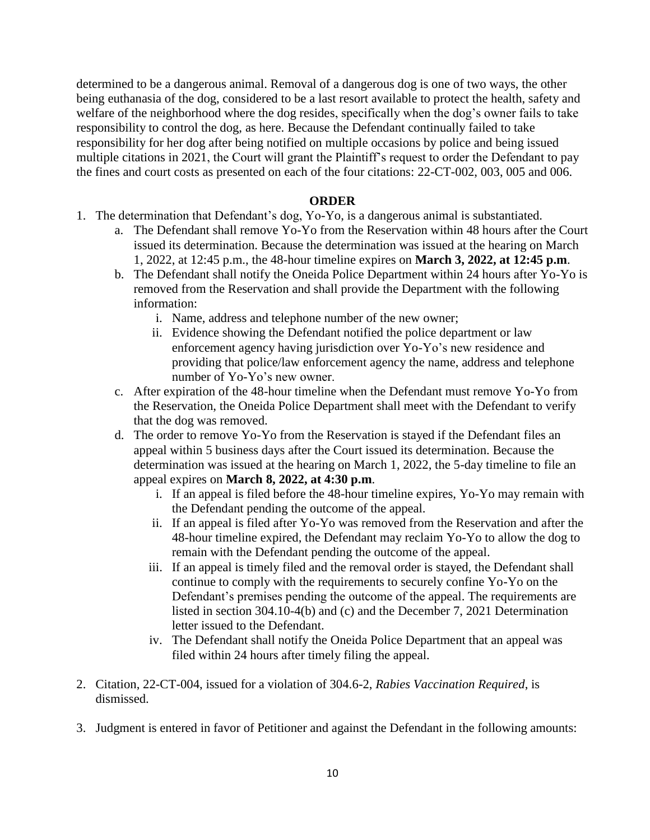determined to be a dangerous animal. Removal of a dangerous dog is one of two ways, the other being euthanasia of the dog, considered to be a last resort available to protect the health, safety and welfare of the neighborhood where the dog resides, specifically when the dog's owner fails to take responsibility to control the dog, as here. Because the Defendant continually failed to take responsibility for her dog after being notified on multiple occasions by police and being issued multiple citations in 2021, the Court will grant the Plaintiff's request to order the Defendant to pay the fines and court costs as presented on each of the four citations: 22-CT-002, 003, 005 and 006.

#### **ORDER**

- 1. The determination that Defendant's dog, Yo-Yo, is a dangerous animal is substantiated.
	- a. The Defendant shall remove Yo-Yo from the Reservation within 48 hours after the Court issued its determination. Because the determination was issued at the hearing on March 1, 2022, at 12:45 p.m., the 48-hour timeline expires on **March 3, 2022, at 12:45 p.m**.
	- b. The Defendant shall notify the Oneida Police Department within 24 hours after Yo-Yo is removed from the Reservation and shall provide the Department with the following information:
		- i. Name, address and telephone number of the new owner;
		- ii. Evidence showing the Defendant notified the police department or law enforcement agency having jurisdiction over Yo-Yo's new residence and providing that police/law enforcement agency the name, address and telephone number of Yo-Yo's new owner.
	- c. After expiration of the 48-hour timeline when the Defendant must remove Yo-Yo from the Reservation, the Oneida Police Department shall meet with the Defendant to verify that the dog was removed.
	- d. The order to remove Yo-Yo from the Reservation is stayed if the Defendant files an appeal within 5 business days after the Court issued its determination. Because the determination was issued at the hearing on March 1, 2022, the 5-day timeline to file an appeal expires on **March 8, 2022, at 4:30 p.m**.
		- i. If an appeal is filed before the 48-hour timeline expires, Yo-Yo may remain with the Defendant pending the outcome of the appeal.
		- ii. If an appeal is filed after Yo-Yo was removed from the Reservation and after the 48-hour timeline expired, the Defendant may reclaim Yo-Yo to allow the dog to remain with the Defendant pending the outcome of the appeal.
		- iii. If an appeal is timely filed and the removal order is stayed, the Defendant shall continue to comply with the requirements to securely confine Yo-Yo on the Defendant's premises pending the outcome of the appeal. The requirements are listed in section 304.10-4(b) and (c) and the December 7, 2021 Determination letter issued to the Defendant.
		- iv. The Defendant shall notify the Oneida Police Department that an appeal was filed within 24 hours after timely filing the appeal.
- 2. Citation, 22-CT-004, issued for a violation of 304.6-2, *Rabies Vaccination Required*, is dismissed.
- 3. Judgment is entered in favor of Petitioner and against the Defendant in the following amounts: